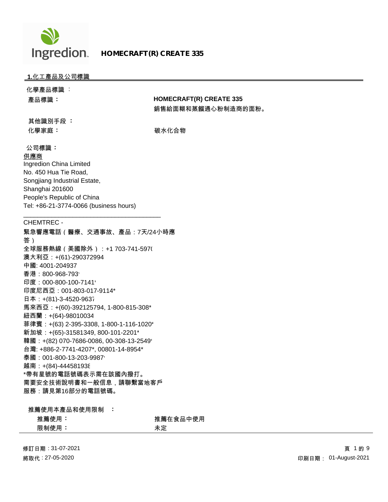

# **HOMECRAFT(R) CREATE 335**

# **1.**化工產品及公司標識

| 化學產品標識 :                                |                                |
|-----------------------------------------|--------------------------------|
| 產品標識:                                   | <b>HOMECRAFT(R) CREATE 335</b> |
|                                         | 銷售給面糊和蒸餾通心粉制造商的面粉。             |
| 其他識別手段:                                 |                                |
| 化學家庭:                                   | 碳水化合物                          |
|                                         |                                |
| 公司標識:                                   |                                |
| 供應商                                     |                                |
| Ingredion China Limited                 |                                |
| No. 450 Hua Tie Road,                   |                                |
| Songjiang Industrial Estate,            |                                |
| Shanghai 201600                         |                                |
| People's Republic of China              |                                |
| Tel: +86-21-3774-0066 (business hours)  |                                |
|                                         |                                |
| <b>CHEMTREC -</b>                       |                                |
| 緊急響應電話 (醫療、交通事故、產品:7天/24小時應             |                                |
| 答)                                      |                                |
| 全球服務熱線(美國除外):+1 703-741-597(            |                                |
| 澳大利亞:+(61)-290372994                    |                                |
| 中國: 4001-204937                         |                                |
| 香港: 800-968-793                         |                                |
| 印度: 000-800-100-7141                    |                                |
| 印度尼西亞: 001-803-017-9114*                |                                |
| 日本: +(81)-3-4520-9637                   |                                |
| 馬來西亞:+(60)-392125794, 1-800-815-308*    |                                |
| 紐西蘭:+(64)-98010034                      |                                |
| 菲律賓:+(63) 2-395-3308, 1-800-1-116-1020* |                                |
| 新加坡: +(65)-31581349, 800-101-2201*      |                                |
| 韓國:+(82) 070-7686-0086, 00-308-13-2549' |                                |
| 台灣: +886-2-7741-4207*, 00801-14-8954*   |                                |
| 泰國: 001-800-13-203-9987'                |                                |
| 越南:+(84)-444581938                      |                                |
| *帶有星號的電話號碼表示需在該國內撥打。                    |                                |
| 需要安全技術說明書和一般信息,請聯繫當地客戶                  |                                |
| 服務:請見第16部分的電話號碼。                        |                                |
|                                         |                                |
| 推薦使用本產品和使用限制                            |                                |
| 推薦使用:                                   | 推薦在食品中使用                       |
| 限制使用:                                   | 未定                             |

修訂日期 : 31-07-2021 將取代 : 27-05-2020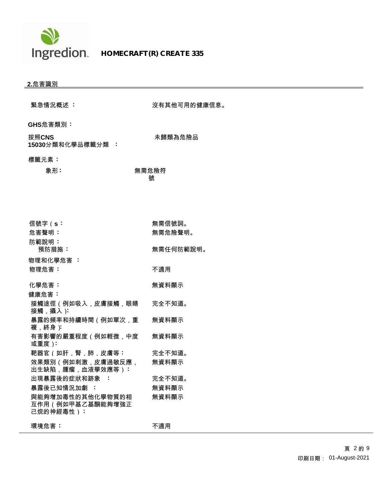

| <u>2.危害識別</u>                                     |              |
|---------------------------------------------------|--------------|
| 緊急情況概述:                                           | 沒有其他可用的健康信息。 |
|                                                   |              |
| GHS危害類別:                                          |              |
| 按照CNS<br>15030分類和化學品標籤分類 :                        | 未歸類為危險品      |
| 標籤元素:                                             |              |
| 象形:                                               | 無需危險符<br>號   |
|                                                   |              |
| 信號字(s:                                            | 無需信號詞。       |
| 危害聲明:                                             | 無需危險聲明。      |
| 防範說明:<br>預防措施:                                    | 無需任何防範說明。    |
| 物理和化學危害 :                                         |              |
| 物理危害:                                             | 不適用          |
| 化學危害:                                             | 無資料顯示        |
| 健康危害:                                             |              |
| 接觸途徑(例如吸入,皮膚接觸,眼睛<br>接觸,攝入):                      | 完全不知道。       |
| 暴露的頻率和持續時間(例如單次,重<br>複 . 終身 ):                    | 無資料顯示        |
| 有害影響的嚴重程度(例如輕微,中度<br>或重度):                        | 無資料顯示        |
| 靶器官(如肝,腎,肺,皮膚等:                                   | 完全不知道。       |
| 效果類別(例如刺激,皮膚過敏反應<br>出生缺陷,腫瘤,血液學效應等):              | 無資料顯示        |
| 出現暴露後的症狀和跡象 :                                     | 完全不知道。       |
| 暴露後已知情況加劇 :                                       | 無資料顯示        |
| 與能夠增加毒性的其他化學物質的相<br>互作用(例如甲基乙基酮能夠增強正<br>己烷的神經毒性): | 無資料顯示        |
|                                                   |              |

**環境危害:** オンファイル のうちゃく 不適用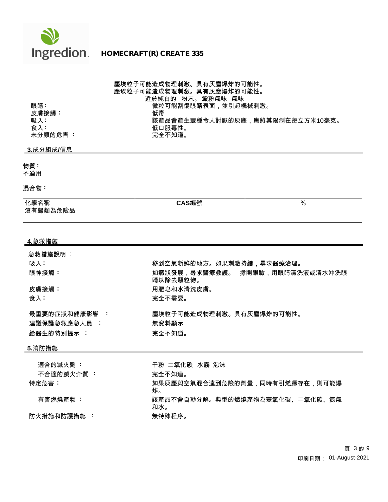

# 塵埃粒子可能造成物理刺激。具有灰塵爆炸的可能性。 塵埃粒子可能造成物理刺激。具有灰塵爆炸的可能性。 近於純白的 粉末。 澱粉氣味 氣味 眼睛 : 微粒可能刮傷眼睛表面,並引起機械刺激。<br>皮膚接觸 <sup>:</sup> 低毒 吸入 **:** 該產品會產生壹種令人討厭的灰塵,應將其限制在每立方米10毫克。<br> 低口服毒性。 低口服毒性。<br>完全不知道。 未分類的危害 :

# **3.**成分組成**/**信息

皮膚接觸:

### 物質 **:**

不適用

### 混合物 **:**

| 化學名稱                  | CAS編號<br>● 船冊 切光 | 70 |
|-----------------------|------------------|----|
| <sup> </sup> 沒有歸類為危險品 |                  |    |
|                       |                  |    |

#### **4.**急救措施

| 急救措施說明 :<br>吸入:               | 移到空氣新鮮的地方。如果刺激持續,尋求醫療治理。                    |
|-------------------------------|---------------------------------------------|
| 眼神接觸:                         | 如癥狀發展.尋求醫療救護。 撐開眼瞼.用眼睛清洗液或清水沖洗眼<br>睛以除去顆粒物。 |
| 皮膚接觸:                         | 用肥皂和水清洗皮膚。                                  |
| 食入:                           | 完全不需要。                                      |
| 最重要的症狀和健康影響 :<br>建議保護急救應急人員 : | 塵埃粒子可能造成物理刺激。具有灰塵爆炸的可能性。<br>無資料顯示           |
| 給醫生的特別提示 :                    | 完全不知道。                                      |
| <u>5.消防措施</u>                 |                                             |
|                               | 干粉 二氧化碳 水露 沟沫                               |

| 適合的滅火劑 :   | 干粉 二氧化碳 水霧 泡沫                         |
|------------|---------------------------------------|
| 不合適的滅火介質 : | 完全不知道。                                |
| 特定危害:      | 如果灰塵與空氣混合達到危險的劑量,同時有引燃源存在,則可能爆<br>炸。  |
| 有害燃燒產物:    | 該產品不會自動分解。典型的燃燒產物為壹氧化碳、二氧化碳、氮氣<br>和水。 |
| 防火措施和防護措施  | 無特殊程序。                                |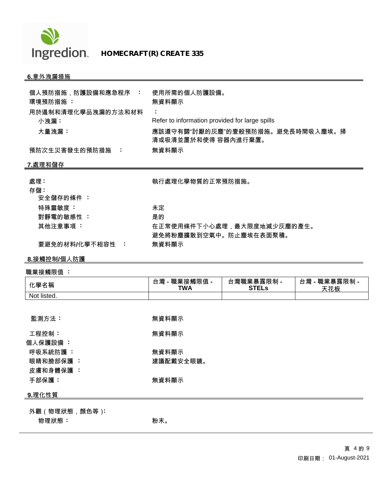

# **6.**意外洩漏措施

| 個人預防措施,防護設備和應急程序 :         | 使用所需的個人防護設備。                                   |                                  |                      |
|----------------------------|------------------------------------------------|----------------------------------|----------------------|
| 環境預防措施 :                   | 無資料顯示                                          |                                  |                      |
| 用於遏制和清理化學品洩漏的方法和材料<br>小洩漏: | Refer to information provided for large spills |                                  |                      |
| 大量洩漏:                      | 清或吸清並置於和使得 容器內進行棄置。                            | 應該遵守有關"討厭的灰塵"的壹般預防措施。避免長時間吸入塵埃。掃 |                      |
| 預防次生災害發生的預防措施 :            | 無資料顯示                                          |                                  |                      |
| 7.處理和儲存                    |                                                |                                  |                      |
| 處理:                        | 執行處理化學物質的正常預防措施。                               |                                  |                      |
| 存儲:                        |                                                |                                  |                      |
| 安全儲存的條件 :                  |                                                |                                  |                      |
| 特殊靈敏度:                     | 未定                                             |                                  |                      |
| 對靜電的敏感性:                   | 是的                                             |                                  |                      |
| 其他注意事項:                    | 避免將粉塵擴散到空氣中。防止塵埃在表面聚積。                         | 在正常使用條件下小心處理,最大限度地減少灰塵的產生。       |                      |
| 要避免的材料/化學不相容性 :            | 無資料顯示                                          |                                  |                      |
| <u>8.接觸控制/個人防護</u>         |                                                |                                  |                      |
| 職業接觸限值 :                   |                                                |                                  |                      |
| 化學名稱                       | 台灣 - 職業接觸限值 -<br><b>TWA</b>                    | 台灣職業暴露限制 -<br><b>STELs</b>       | 台灣 - 職業暴露限制 -<br>天花板 |
| Not listed.                |                                                |                                  |                      |
|                            |                                                |                                  |                      |
| 監測方法:                      | 無資料顯示                                          |                                  |                      |
| 工程控制:                      | 無資料顯示                                          |                                  |                      |
| 個人保護設備:                    |                                                |                                  |                      |
| 呼吸系統防護:                    | 無資料顯示                                          |                                  |                      |
| 眼睛和臉部保護:                   | 建議配戴安全眼鏡。                                      |                                  |                      |
| 皮膚和身體保護 :                  |                                                |                                  |                      |
| 手部保護:                      | 無資料顯示                                          |                                  |                      |
| <u>9.理化性質</u>              |                                                |                                  |                      |
| 外觀 (物理狀態,顏色等):             |                                                |                                  |                      |
| 物理狀態:                      | 粉末。                                            |                                  |                      |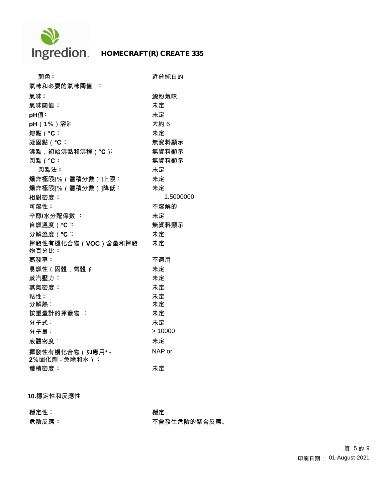

# **HOMECRAFT(R) CREATE 335**

| 顏色:                               | 近於純白的     |
|-----------------------------------|-----------|
| 氣味和必要的氣味閾值 :                      |           |
| 氣味:                               | 澱粉氣味      |
| 氣味閾值:                             | 未定        |
| pH值:                              | 未定        |
| pH (1%)溶汗                         | 大約6       |
| 熔點 ( °C:                          | 未定        |
| 凝固點(°C:                           | 無資料顯示     |
| 沸點,初始沸點和沸程(°C):                   | 無資料顯示     |
| 閃點 ( °C:                          | 無資料顯示     |
| 閃點法:                              | 未定        |
| 爆炸極限[%(體積分數)]上限:                  | 未定        |
| 爆炸極限[%(體積分數)]降低:                  | 未定        |
| 相對密度:                             | 1.5000000 |
| 可溶性:                              | 不溶解的      |
| 辛醇/水分配係數:                         | 未定        |
| 自燃溫度 ( °C ):                      | 無資料顯示     |
| 分解溫度 ( °C ):                      | 未定        |
| 揮發性有機化合物 (VOC)含量和揮發<br>物百分比:      | 未定        |
| 蒸發率:                              | 不適用       |
| 易燃性(固體,氣體)                        | 未定        |
| 蒸汽壓力:                             | 未定        |
| 蒸氣密度:                             | 未定        |
| 粘性:                               | 未定        |
| 分解熱:                              | 未定        |
| 按重量計的揮發物 :                        | 未定        |
| 分子式:                              | 未定        |
| 分子量:                              | >10000    |
| 液體密度:                             | 未定        |
| 揮發性有機化合物 (如應用*-<br>2%固化劑 - 免除和水): | NAP or    |
| 體積密度:                             | 未定        |

# **10.**穩定性和反應性

穩定性 **:** 穩定

危險反應 **:** 不會發生危險的聚合反應。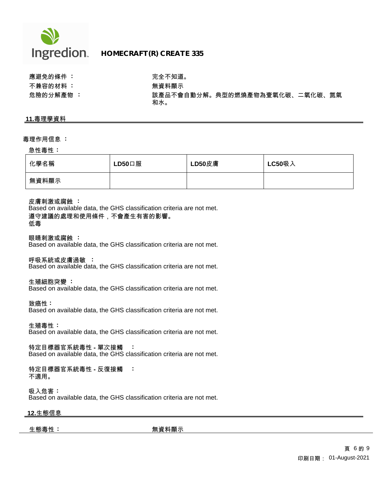

# **Ingredion HOMECRAFT(R) CREATE 335**

應避免的條件 **:** 完全不知道。 不兼容的材料 : **2000年 : 2000年 : 2000年 : 2000年 : 2000年 : 2000年 : 2000年 : 2000年 : 2000年 : 2000年 : 2000年 : 2000年 : 2000年 : 2000年 : 2000年 : 2000年 : 2000年 : 2000年 : 2000年 : 2000年 : 2000年 : 2000年 : 2000年 : 2000年 : 2000年 : 2000年 : 2000** 

危險的分解產物 **:** 該產品不會自動分解。典型的燃燒產物為壹氧化碳、二氧化碳、氮氣 和水。

#### **11.**毒理學資料

#### 毒理作用信息 **:**

#### 急性毒性 **:**

| 化學名稱  | $LD50$ 口服 | LD50皮膚 | <b>LC50吸入</b> |
|-------|-----------|--------|---------------|
| 無資料顯示 |           |        |               |

皮膚刺激或腐蝕 **:**

Based on available data, the GHS classification criteria are not met. 遵守建議的處理和使用條件,不會產生有害的影響。 低毒

眼睛刺激或腐蝕 **:**

Based on available data, the GHS classification criteria are not met.

呼吸系統或皮膚過敏 **:**

Based on available data, the GHS classification criteria are not met.

生殖細胞突變 **:**

Based on available data, the GHS classification criteria are not met.

致癌性 **:**

Based on available data, the GHS classification criteria are not met.

生殖毒性 **:** Based on available data, the GHS classification criteria are not met.

特定目標器官系統毒性 **-** 單次接觸 **:** Based on available data, the GHS classification criteria are not met.

特定目標器官系統毒性 **-** 反復接觸 **:** 不適用。

吸入危害 **:** Based on available data, the GHS classification criteria are not met.

### **12.**生態信息

生態毒性 **:** 無資料顯示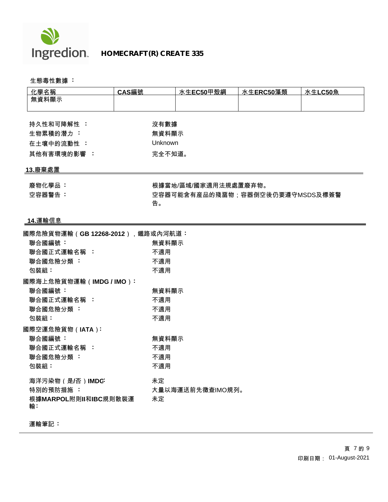

 **HOMECRAFT(R) CREATE 335**

生態毒性數據 **:** 

| 化學名稱                             | CAS編號   | 水生EC50甲殼綱                       | 水生ERC50藻類 | 水生LC50魚 |
|----------------------------------|---------|---------------------------------|-----------|---------|
| 無資料顯示                            |         |                                 |           |         |
| 持久性和可降解性 :                       | 沒有數據    |                                 |           |         |
| 生物累積的潛力:                         | 無資料顯示   |                                 |           |         |
| 在土壤中的流動性:                        | Unknown |                                 |           |         |
| 其他有害環境的影響:                       |         | 完全不知道。                          |           |         |
| 13.廢棄處置                          |         |                                 |           |         |
| 廢物化學品:                           |         | 根據當地/區域/國家適用法規處置廢弃物。            |           |         |
| 空容器警告:                           |         | 空容器可能含有産品的殘畱物;容器倒空後仍要遵守MSDS及標簽警 |           |         |
|                                  | 告。      |                                 |           |         |
|                                  |         |                                 |           |         |
| <u>14.運輸信息</u>                   |         |                                 |           |         |
| 國際危險貨物運輸(GB 12268-2012),鐵路或內河航道: |         |                                 |           |         |
| 聯合國編號:                           | 無資料顯示   |                                 |           |         |
| 聯合國正式運輸名稱:                       | 不適用     |                                 |           |         |
| 聯合國危險分類:                         | 不適用     |                                 |           |         |
| 包裝組:                             | 不適用     |                                 |           |         |
| 國際海上危險貨物運輸(IMDG / IMO):          |         |                                 |           |         |
| 聯合國編號:                           | 無資料顯示   |                                 |           |         |
| 聯合國正式運輸名稱:                       | 不適用     |                                 |           |         |
| 聯合國危險分類:                         | 不適用     |                                 |           |         |
| 包裝組:                             | 不適用     |                                 |           |         |
| 國際空運危險貨物 (IATA):                 |         |                                 |           |         |
| 聯合國編號:                           | 無資料顯示   |                                 |           |         |
| 聯合國正式運輸名稱 :                      | 不適用     |                                 |           |         |
| 聯合國危險分類:                         | 不適用     |                                 |           |         |
| 包裝組:                             | 不適用     |                                 |           |         |
|                                  |         |                                 |           |         |
| 海洋污染物 (是/否) IMDG:                | 未定      |                                 |           |         |
| 特別的預防措施:                         |         | 大量以海運送前先徵查IMO規列。                |           |         |
| 根據MARPOL附則II和IBC規則散裝運            | 未定      |                                 |           |         |

運輸筆記 **:**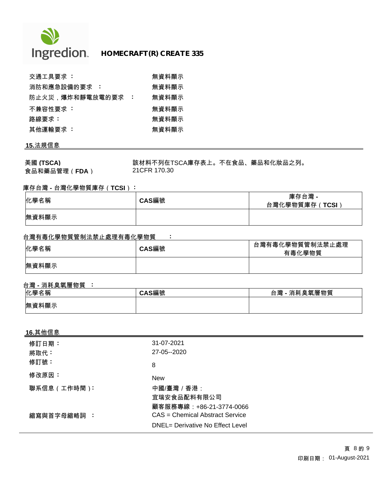

| 交通工具要求 :        |     | 無資料顯示 |
|-----------------|-----|-------|
| 消防和應急設備的要求 :    |     | 無資料顯示 |
| 防止火災,爆炸和靜電放電的要求 | - 1 | 無資料顯示 |
| 不兼容性要求:         |     | 無資料顯示 |
| 路線要求:           |     | 無資料顯示 |
| 其他運輸要求 :        |     | 無資料顯示 |

# **15.**法規信息

美國 (TSCA) **TECA** TECHT TECAT 該材料不列在TSCA庫存表上。不在食品、藥品和化妝品之列。 食品和藥品管理(**FDA**) 21CFR 170.30

## 庫存台灣 **-** 台灣化學物質庫存(**TCSI**) **:**

| 化學名稱  | CAS編號 | 庫存台灣 -<br>台灣化學物質庫存(TCSI) |
|-------|-------|--------------------------|
| 無資料顯示 |       |                          |

# 台灣有毒化學物質管制法禁止處理有毒化學物質 **:**

| 化學名稱  | CAS編號 | 台灣有毒化學物質管制法禁止處理<br>有毒化學物質 |
|-------|-------|---------------------------|
| 無資料顯示 |       |                           |

# 台灣 **-** 消耗臭氧層物質 **:**

| 化學名稱  | \S編號 | !- 消耗臭氧層物質<br>台灣 |
|-------|------|------------------|
| 無資料顯示 |      |                  |

## **16.**其他信息

| 修訂日期:<br>將取代: | 31-07-2021<br>27-05--2020                                           |
|---------------|---------------------------------------------------------------------|
| 修訂號:          | 8                                                                   |
| 修改原因:         | <b>New</b>                                                          |
| 聯系信息 (工作時間):  | 中國/臺灣 / 香港:<br>宜瑞安食品配料有限公司<br>顧客服務專線:+86-21-3774-0066               |
| 縮寫與首字母縮略詞 :   | CAS = Chemical Abstract Service<br>DNEL= Derivative No Effect Level |